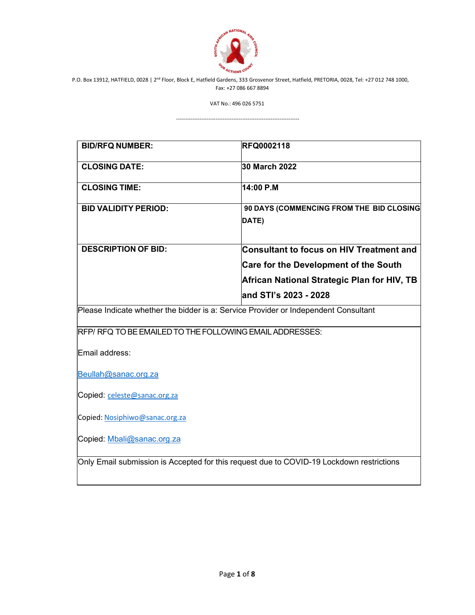

VAT No.: 496 026 5751

---------------------------------------------------------------------

| <b>BID/RFQ NUMBER:</b>                                                              | <b>RFQ0002118</b>                            |
|-------------------------------------------------------------------------------------|----------------------------------------------|
| <b>CLOSING DATE:</b>                                                                | 30 March 2022                                |
| <b>CLOSING TIME:</b>                                                                | 14:00 P.M                                    |
| <b>BID VALIDITY PERIOD:</b>                                                         | 90 DAYS (COMMENCING FROM THE BID CLOSING     |
|                                                                                     | DATE)                                        |
| <b>DESCRIPTION OF BID:</b>                                                          | Consultant to focus on HIV Treatment and     |
|                                                                                     | <b>Care for the Development of the South</b> |
|                                                                                     | African National Strategic Plan for HIV, TB  |
|                                                                                     | and STI's 2023 - 2028                        |
| Please Indicate whether the bidder is a: Service Provider or Independent Consultant |                                              |
|                                                                                     |                                              |
| RFP/RFQ TO BE EMAILED TO THE FOLLOWING EMAIL ADDRESSES:                             |                                              |
| Email address:                                                                      |                                              |
| Beullah@sanac.org.za                                                                |                                              |
| Copied: celeste@sanac.org.za                                                        |                                              |
| Copied: Nosiphiwo@sanac.org.za                                                      |                                              |
| Copied: Mbali@sanac.org.za                                                          |                                              |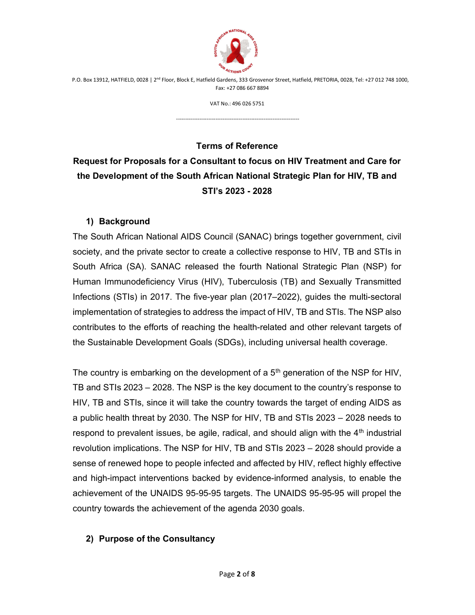

VAT No.: 496 026 5751

---------------------------------------------------------------------

Terms of Reference

# Request for Proposals for a Consultant to focus on HIV Treatment and Care for the Development of the South African National Strategic Plan for HIV, TB and STI's 2023 - 2028

### 1) Background

The South African National AIDS Council (SANAC) brings together government, civil society, and the private sector to create a collective response to HIV, TB and STIs in South Africa (SA). SANAC released the fourth National Strategic Plan (NSP) for Human Immunodeficiency Virus (HIV), Tuberculosis (TB) and Sexually Transmitted Infections (STIs) in 2017. The five-year plan (2017–2022), guides the multi-sectoral implementation of strategies to address the impact of HIV, TB and STIs. The NSP also contributes to the efforts of reaching the health-related and other relevant targets of the Sustainable Development Goals (SDGs), including universal health coverage.

The country is embarking on the development of a  $5<sup>th</sup>$  generation of the NSP for HIV, TB and STIs 2023 – 2028. The NSP is the key document to the country's response to HIV, TB and STIs, since it will take the country towards the target of ending AIDS as a public health threat by 2030. The NSP for HIV, TB and STIs 2023 – 2028 needs to respond to prevalent issues, be agile, radical, and should align with the  $4<sup>th</sup>$  industrial revolution implications. The NSP for HIV, TB and STIs 2023 – 2028 should provide a sense of renewed hope to people infected and affected by HIV, reflect highly effective and high-impact interventions backed by evidence-informed analysis, to enable the achievement of the UNAIDS 95-95-95 targets. The UNAIDS 95-95-95 will propel the country towards the achievement of the agenda 2030 goals.

#### 2) Purpose of the Consultancy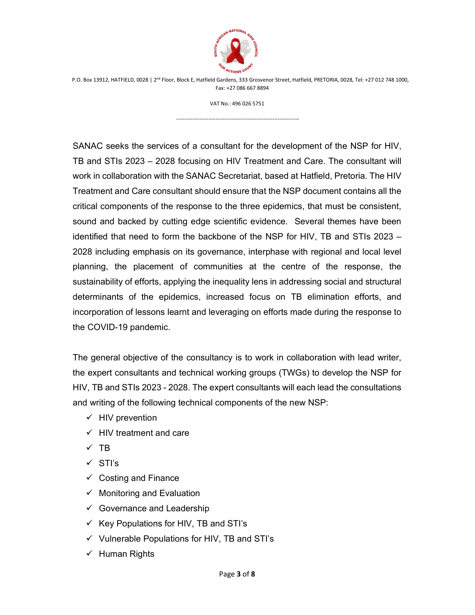

VAT No.: 496 026 5751

---------------------------------------------------------------------

SANAC seeks the services of a consultant for the development of the NSP for HIV, TB and STIs 2023 – 2028 focusing on HIV Treatment and Care. The consultant will work in collaboration with the SANAC Secretariat, based at Hatfield, Pretoria. The HIV Treatment and Care consultant should ensure that the NSP document contains all the critical components of the response to the three epidemics, that must be consistent, sound and backed by cutting edge scientific evidence. Several themes have been identified that need to form the backbone of the NSP for HIV, TB and STIs 2023 – 2028 including emphasis on its governance, interphase with regional and local level planning, the placement of communities at the centre of the response, the sustainability of efforts, applying the inequality lens in addressing social and structural determinants of the epidemics, increased focus on TB elimination efforts, and incorporation of lessons learnt and leveraging on efforts made during the response to the COVID-19 pandemic.

The general objective of the consultancy is to work in collaboration with lead writer, the expert consultants and technical working groups (TWGs) to develop the NSP for HIV, TB and STIs 2023 - 2028. The expert consultants will each lead the consultations and writing of the following technical components of the new NSP:

- $\checkmark$  HIV prevention
- $\checkmark$  HIV treatment and care
- $\times$  TB
- $\checkmark$  STI's
- $\checkmark$  Costing and Finance
- $\checkmark$  Monitoring and Evaluation
- $\checkmark$  Governance and Leadership
- $\checkmark$  Key Populations for HIV, TB and STI's
- $\checkmark$  Vulnerable Populations for HIV, TB and STI's
- $\checkmark$  Human Rights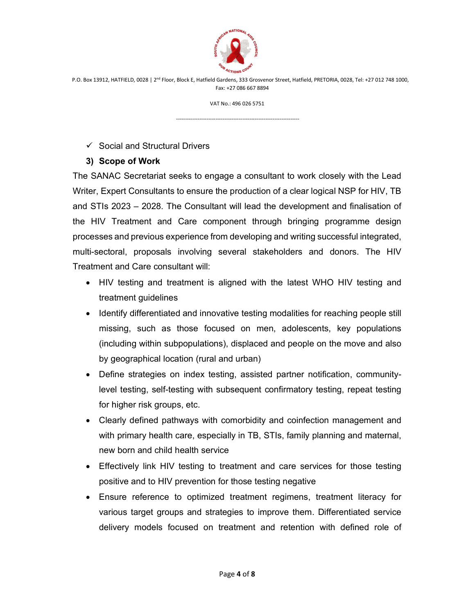

VAT No.: 496 026 5751

---------------------------------------------------------------------

#### $\checkmark$  Social and Structural Drivers

#### 3) Scope of Work

The SANAC Secretariat seeks to engage a consultant to work closely with the Lead Writer, Expert Consultants to ensure the production of a clear logical NSP for HIV, TB and STIs 2023 – 2028. The Consultant will lead the development and finalisation of the HIV Treatment and Care component through bringing programme design processes and previous experience from developing and writing successful integrated, multi-sectoral, proposals involving several stakeholders and donors. The HIV Treatment and Care consultant will:

- HIV testing and treatment is aligned with the latest WHO HIV testing and treatment guidelines
- Identify differentiated and innovative testing modalities for reaching people still missing, such as those focused on men, adolescents, key populations (including within subpopulations), displaced and people on the move and also by geographical location (rural and urban)
- Define strategies on index testing, assisted partner notification, communitylevel testing, self-testing with subsequent confirmatory testing, repeat testing for higher risk groups, etc.
- Clearly defined pathways with comorbidity and coinfection management and with primary health care, especially in TB, STIs, family planning and maternal, new born and child health service
- Effectively link HIV testing to treatment and care services for those testing positive and to HIV prevention for those testing negative
- Ensure reference to optimized treatment regimens, treatment literacy for various target groups and strategies to improve them. Differentiated service delivery models focused on treatment and retention with defined role of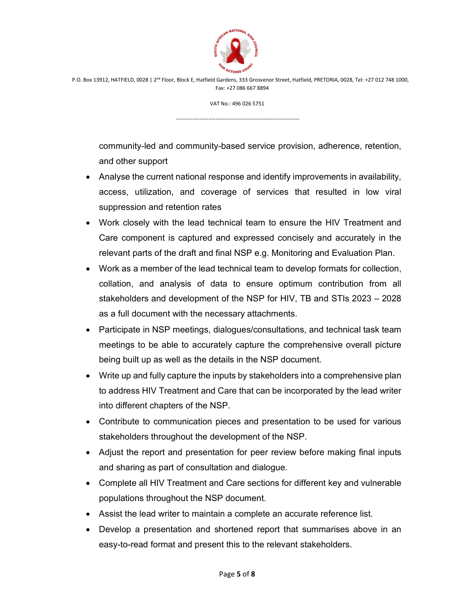

VAT No.: 496 026 5751

---------------------------------------------------------------------

community-led and community-based service provision, adherence, retention, and other support

- Analyse the current national response and identify improvements in availability, access, utilization, and coverage of services that resulted in low viral suppression and retention rates
- Work closely with the lead technical team to ensure the HIV Treatment and Care component is captured and expressed concisely and accurately in the relevant parts of the draft and final NSP e.g. Monitoring and Evaluation Plan.
- Work as a member of the lead technical team to develop formats for collection, collation, and analysis of data to ensure optimum contribution from all stakeholders and development of the NSP for HIV, TB and STIs 2023 – 2028 as a full document with the necessary attachments.
- Participate in NSP meetings, dialogues/consultations, and technical task team meetings to be able to accurately capture the comprehensive overall picture being built up as well as the details in the NSP document.
- Write up and fully capture the inputs by stakeholders into a comprehensive plan to address HIV Treatment and Care that can be incorporated by the lead writer into different chapters of the NSP.
- Contribute to communication pieces and presentation to be used for various stakeholders throughout the development of the NSP.
- Adjust the report and presentation for peer review before making final inputs and sharing as part of consultation and dialogue.
- Complete all HIV Treatment and Care sections for different key and vulnerable populations throughout the NSP document.
- Assist the lead writer to maintain a complete an accurate reference list.
- Develop a presentation and shortened report that summarises above in an easy-to-read format and present this to the relevant stakeholders.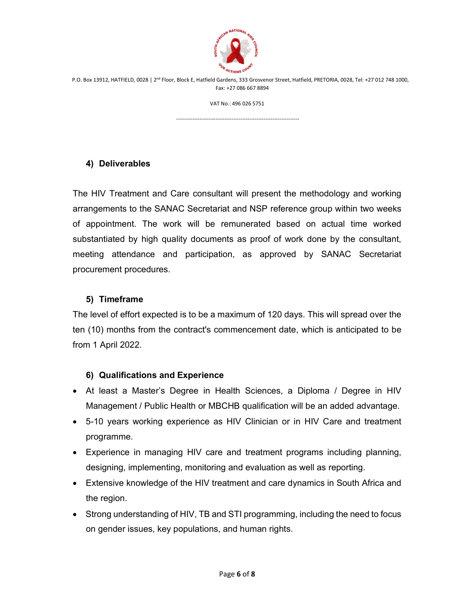

VAT No.: 496 026 5751

---------------------------------------------------------------------

#### 4) Deliverables

The HIV Treatment and Care consultant will present the methodology and working arrangements to the SANAC Secretariat and NSP reference group within two weeks of appointment. The work will be remunerated based on actual time worked substantiated by high quality documents as proof of work done by the consultant, meeting attendance and participation, as approved by SANAC Secretariat procurement procedures.

#### 5) Timeframe

The level of effort expected is to be a maximum of 120 days. This will spread over the ten (10) months from the contract's commencement date, which is anticipated to be from 1 April 2022.

#### 6) Qualifications and Experience

- At least a Master's Degree in Health Sciences, a Diploma / Degree in HIV Management / Public Health or MBCHB qualification will be an added advantage.
- 5-10 years working experience as HIV Clinician or in HIV Care and treatment programme.
- Experience in managing HIV care and treatment programs including planning, designing, implementing, monitoring and evaluation as well as reporting.
- Extensive knowledge of the HIV treatment and care dynamics in South Africa and the region.
- Strong understanding of HIV, TB and STI programming, including the need to focus on gender issues, key populations, and human rights.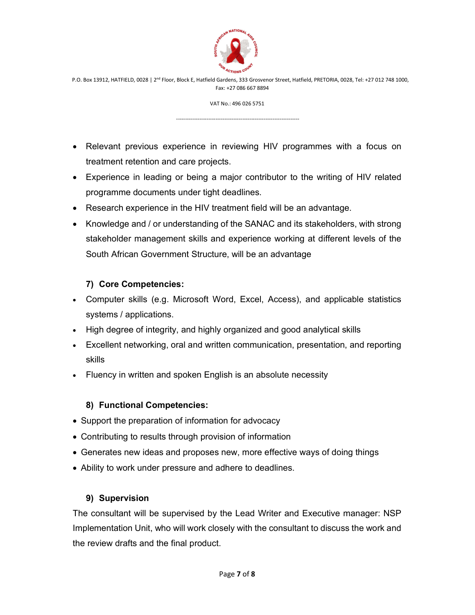

VAT No.: 496 026 5751

---------------------------------------------------------------------

- Relevant previous experience in reviewing HIV programmes with a focus on treatment retention and care projects.
- Experience in leading or being a major contributor to the writing of HIV related programme documents under tight deadlines.
- Research experience in the HIV treatment field will be an advantage.
- Knowledge and / or understanding of the SANAC and its stakeholders, with strong stakeholder management skills and experience working at different levels of the South African Government Structure, will be an advantage

# 7) Core Competencies:

- Computer skills (e.g. Microsoft Word, Excel, Access), and applicable statistics systems / applications.
- High degree of integrity, and highly organized and good analytical skills
- Excellent networking, oral and written communication, presentation, and reporting skills
- Fluency in written and spoken English is an absolute necessity

# 8) Functional Competencies:

- Support the preparation of information for advocacy
- Contributing to results through provision of information
- Generates new ideas and proposes new, more effective ways of doing things
- Ability to work under pressure and adhere to deadlines.

# 9) Supervision

The consultant will be supervised by the Lead Writer and Executive manager: NSP Implementation Unit, who will work closely with the consultant to discuss the work and the review drafts and the final product.